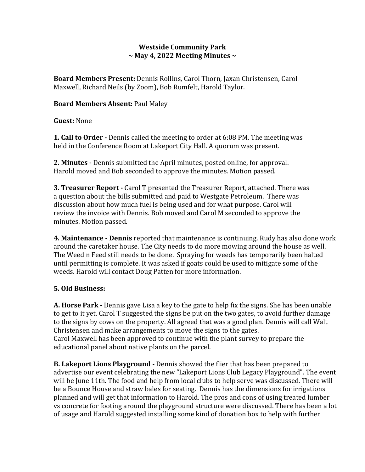### **Westside Community Park ~ May 4, 2022 Meeting Minutes ~**

**Board Members Present:** Dennis Rollins, Carol Thorn, Jaxan Christensen, Carol Maxwell, Richard Neils (by Zoom), Bob Rumfelt, Harold Taylor.

### **Board Members Absent:** Paul Maley

**Guest:** None

**1. Call to Order -** Dennis called the meeting to order at 6:08 PM. The meeting was held in the Conference Room at Lakeport City Hall. A quorum was present.

**2. Minutes -** Dennis submitted the April minutes, posted online, for approval. Harold moved and Bob seconded to approve the minutes. Motion passed.

**3. Treasurer Report -** Carol T presented the Treasurer Report, attached. There was a question about the bills submitted and paid to Westgate Petroleum. There was discussion about how much fuel is being used and for what purpose. Carol will review the invoice with Dennis. Bob moved and Carol M seconded to approve the minutes. Motion passed.

**4. Maintenance - Dennis** reported that maintenance is continuing. Rudy has also done work around the caretaker house. The City needs to do more mowing around the house as well. The Weed n Feed still needs to be done. Spraying for weeds has temporarily been halted until permitting is complete. It was asked if goats could be used to mitigate some of the weeds. Harold will contact Doug Patten for more information.

# **5. Old Business:**

**A. Horse Park -** Dennis gave Lisa a key to the gate to help fix the signs. She has been unable to get to it yet. Carol T suggested the signs be put on the two gates, to avoid further damage to the signs by cows on the property. All agreed that was a good plan. Dennis will call Walt Christensen and make arrangements to move the signs to the gates. Carol Maxwell has been approved to continue with the plant survey to prepare the educational panel about native plants on the parcel.

**B. Lakeport Lions Playground -** Dennis showed the flier that has been prepared to advertise our event celebrating the new "Lakeport Lions Club Legacy Playground". The event will be June 11th. The food and help from local clubs to help serve was discussed. There will be a Bounce House and straw bales for seating. Dennis has the dimensions for irrigations planned and will get that information to Harold. The pros and cons of using treated lumber vs concrete for footing around the playground structure were discussed. There has been a lot of usage and Harold suggested installing some kind of donation box to help with further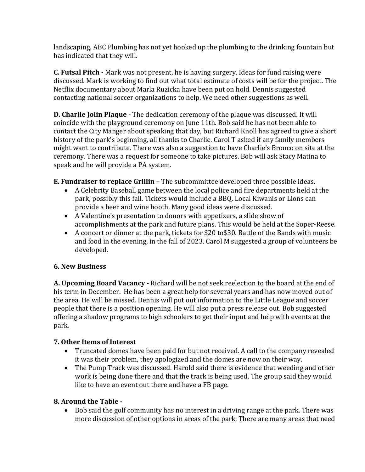landscaping. ABC Plumbing has not yet hooked up the plumbing to the drinking fountain but has indicated that they will.

**C. Futsal Pitch -** Mark was not present, he is having surgery. Ideas for fund raising were discussed. Mark is working to find out what total estimate of costs will be for the project. The Netflix documentary about Marla Ruzicka have been put on hold. Dennis suggested contacting national soccer organizations to help. We need other suggestions as well.

**D. Charlie Jolin Plaque -** The dedication ceremony of the plaque was discussed. It will coincide with the playground ceremony on June 11th. Bob said he has not been able to contact the City Manger about speaking that day, but Richard Knoll has agreed to give a short history of the park's beginning, all thanks to Charlie. Carol T asked if any family members might want to contribute. There was also a suggestion to have Charlie's Bronco on site at the ceremony. There was a request for someone to take pictures. Bob will ask Stacy Matina to speak and he will provide a PA system.

**E. Fundraiser to replace Grillin –** The subcommittee developed three possible ideas.

- A Celebrity Baseball game between the local police and fire departments held at the park, possibly this fall. Tickets would include a BBQ. Local Kiwanis or Lions can provide a beer and wine booth. Many good ideas were discussed.
- A Valentine's presentation to donors with appetizers, a slide show of accomplishments at the park and future plans. This would be held at the Soper-Reese.
- A concert or dinner at the park, tickets for \$20 to\$30. Battle of the Bands with music and food in the evening, in the fall of 2023. Carol M suggested a group of volunteers be developed.

# **6. New Business**

**A. Upcoming Board Vacancy -** Richard will be not seek reelection to the board at the end of his term in December. He has been a great help for several years and has now moved out of the area. He will be missed. Dennis will put out information to the Little League and soccer people that there is a position opening. He will also put a press release out. Bob suggested offering a shadow programs to high schoolers to get their input and help with events at the park.

#### **7. Other Items of Interest**

- Truncated domes have been paid for but not received. A call to the company revealed it was their problem, they apologized and the domes are now on their way.
- The Pump Track was discussed. Harold said there is evidence that weeding and other work is being done there and that the track is being used. The group said they would like to have an event out there and have a FB page.

#### **8. Around the Table -**

 Bob said the golf community has no interest in a driving range at the park. There was more discussion of other options in areas of the park. There are many areas that need